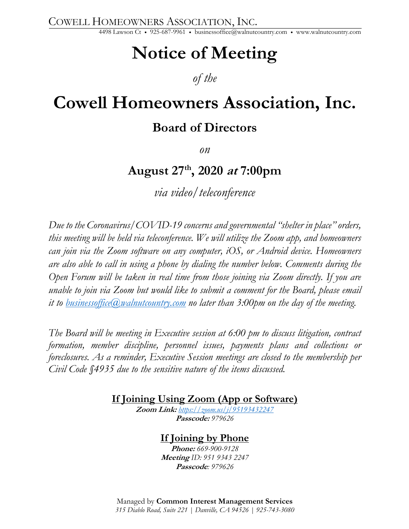COWELL HOMEOWNERS ASSOCIATION, INC.

4498 Lawson Ct • 925-687-9961 • businessoffice@walnutcountry.com • www.walnutcountry.com

# **Notice of Meeting**

## *of the*

## **Cowell Homeowners Association, Inc.**

## **Board of Directors**

*on*

## **August 27th, 2020 at 7:00pm**

*via video/teleconference*

*Due to the Coronavirus/COVID-19 concerns and governmental "shelter in place" orders, this meeting will be held via teleconference. We will utilize the Zoom app, and homeowners can join via the Zoom software on any computer, iOS, or Android device. Homeowners are also able to call in using a phone by dialing the number below. Comments during the Open Forum will be taken in real time from those joining via Zoom directly. If you are unable to join via Zoom but would like to submit a comment for the Board, please email it to businessoffice@walnutcountry.com no later than 3:00pm on the day of the meeting.*

*The Board will be meeting in Executive session at 6:00 pm to discuss litigation, contract formation, member discipline, personnel issues, payments plans and collections or foreclosures. As a reminder, Executive Session meetings are closed to the membership per Civil Code §4935 due to the sensitive nature of the items discussed.* 

**If Joining Using Zoom (App or Software)**

**Zoom Link:** *https://zoom.us/j/95193432247* **Passcode:** *979626*

### **If Joining by Phone**

**Phone:** *669-900-9128* **Meeting** *ID: 951 9343 2247* **Passcode***: 979626*

Managed by **Common Interest Management Services** *315 Diablo Road, Suite 221 | Danville, CA 94526 | 925-743-3080*